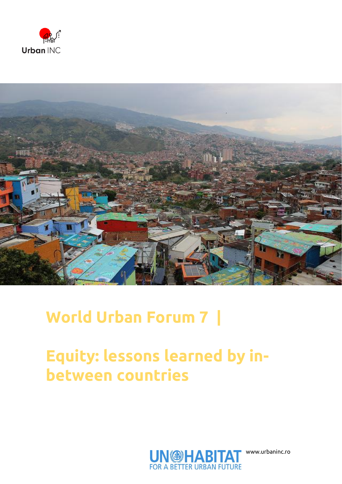



## **World Urban Forum 7 |**

## **Equity: lessons learned by inbetween countries**



www.urbaninc.ro